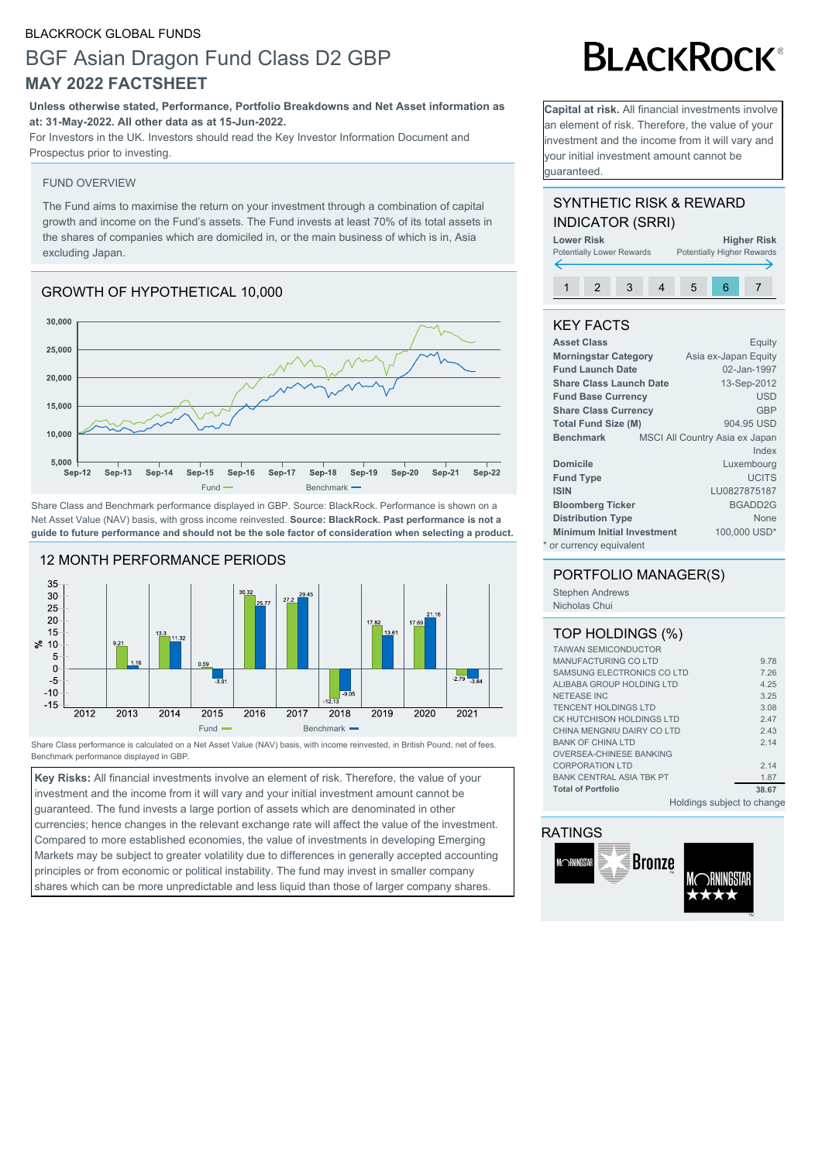## BLACKROCK GLOBAL FUNDS

# BGF Asian Dragon Fund Class D2 GBP **MAY 2022 FACTSHEET**

## **Unless otherwise stated, Performance, Portfolio Breakdowns and Net Asset information as at: 31-May-2022. All other data as at 15-Jun-2022.**

For Investors in the UK. Investors should read the Key Investor Information Document and Prospectus prior to investing.

## FUND OVERVIEW

The Fund aims to maximise the return on your investment through a combination of capital growth and income on the Fund's assets. The Fund invests at least 70% of its total assets in the shares of companies which are domiciled in, or the main business of which is in, Asia excluding Japan.

## GROWTH OF HYPOTHETICAL 10,000



Share Class and Benchmark performance displayed in GBP. Source: BlackRock. Performance is shown on a Net Asset Value (NAV) basis, with gross income reinvested. **Source: BlackRock. Past performance is not a guide to future performance and should not be the sole factor of consideration when selecting a product.**



Share Class performance is calculated on a Net Asset Value (NAV) basis, with income reinvested, in British Pound, net of fees. Benchmark performance displayed in GBP.

**Key Risks:** All financial investments involve an element of risk. Therefore, the value of your investment and the income from it will vary and your initial investment amount cannot be guaranteed. The fund invests a large portion of assets which are denominated in other currencies; hence changes in the relevant exchange rate will affect the value of the investment. Compared to more established economies, the value of investments in developing Emerging Markets may be subject to greater volatility due to differences in generally accepted accounting principles or from economic or political instability. The fund may invest in smaller company shares which can be more unpredictable and less liquid than those of larger company shares.

# **BLACKROCK®**

**Capital at risk.** All financial investments involve an element of risk. Therefore, the value of your investment and the income from it will vary and your initial investment amount cannot be guaranteed.

## SYNTHETIC RISK & REWARD INDICATOR (SRRI)



## KEY FACTS

| <b>Asset Class</b>                | Equity                         |
|-----------------------------------|--------------------------------|
| <b>Morningstar Category</b>       | Asia ex-Japan Equity           |
| <b>Fund Launch Date</b>           | 02-Jan-1997                    |
| <b>Share Class Launch Date</b>    | 13-Sep-2012                    |
| <b>Fund Base Currency</b>         | <b>USD</b>                     |
| <b>Share Class Currency</b>       | <b>GBP</b>                     |
| <b>Total Fund Size (M)</b>        | 904.95 USD                     |
| <b>Benchmark</b>                  | MSCI All Country Asia ex Japan |
|                                   | Index                          |
| <b>Domicile</b>                   | Luxembourg                     |
| <b>Fund Type</b>                  | <b>UCITS</b>                   |
| <b>ISIN</b>                       | LU0827875187                   |
| <b>Bloomberg Ticker</b>           | BGADD2G                        |
| <b>Distribution Type</b>          | <b>None</b>                    |
| <b>Minimum Initial Investment</b> | 100,000 USD*                   |
| * or currency equivalent          |                                |

## PORTFOLIO MANAGER(S)

Stephen Andrews Nicholas Chui

## TOP HOLDINGS (%)

| <b>TAIWAN SEMICONDUCTOR</b>     |       |
|---------------------------------|-------|
| MANUFACTURING COLTD             | 9.78  |
| SAMSUNG ELECTRONICS COLTD       | 7.26  |
| ALIBABA GROUP HOLDING LTD       | 4.25  |
| <b>NETEASE INC</b>              | 3.25  |
| <b>TENCENT HOLDINGS LTD</b>     | 3.08  |
| CK HUTCHISON HOLDINGS LTD       | 2.47  |
| CHINA MENGNIU DAIRY CO LTD      | 2.43  |
| <b>BANK OF CHINA LTD</b>        | 2.14  |
| <b>OVERSEA-CHINESE BANKING</b>  |       |
| <b>CORPORATION LTD</b>          | 2.14  |
| <b>BANK CENTRAL ASIA TBK PT</b> | 1.87  |
| <b>Total of Portfolio</b>       | 38.67 |
|                                 |       |

Holdings subject to change

## RATINGS

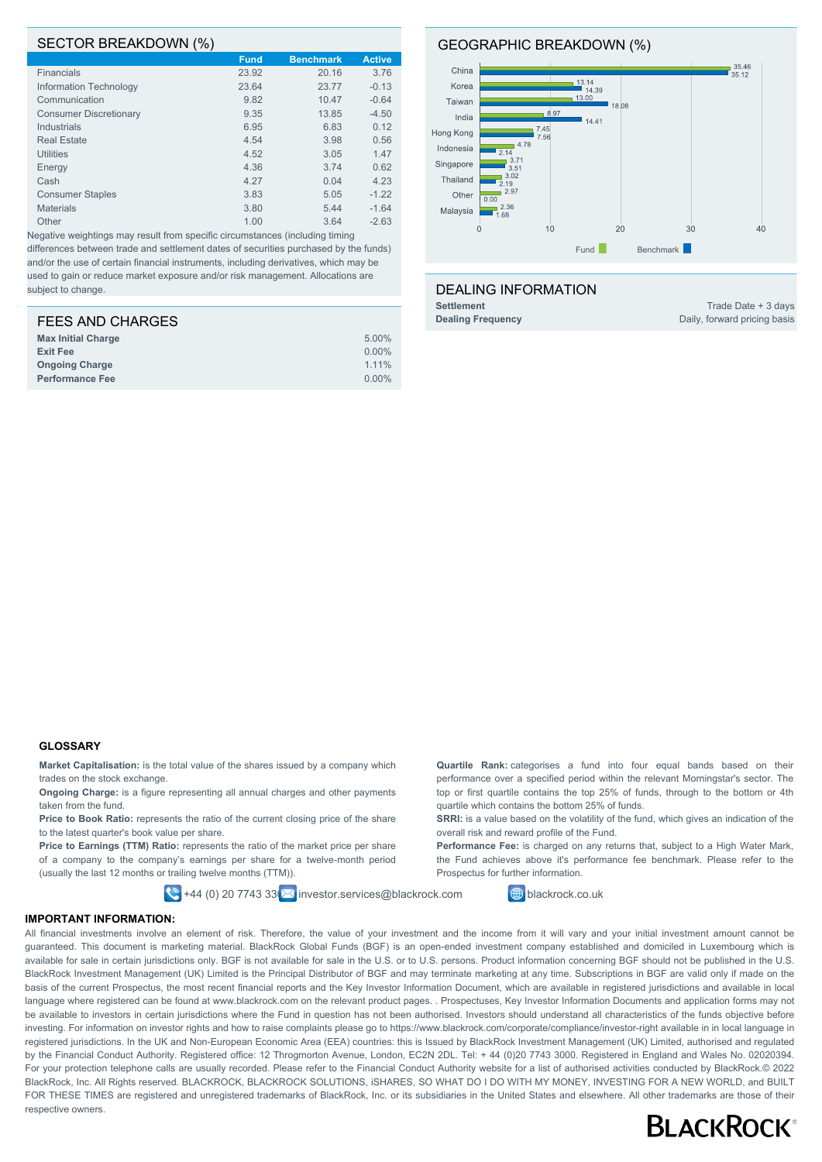#### SECTOR BREAKDOWN (%)

|                               | <b>Fund</b> | <b>Benchmark</b> | <b>Active</b> |
|-------------------------------|-------------|------------------|---------------|
| <b>Financials</b>             | 23.92       | 20.16            | 3.76          |
| Information Technology        | 23.64       | 23.77            | $-0.13$       |
| Communication                 | 9.82        | 10.47            | $-0.64$       |
| <b>Consumer Discretionary</b> | 9.35        | 13.85            | $-4.50$       |
| Industrials                   | 6.95        | 6.83             | 0.12          |
| <b>Real Estate</b>            | 4.54        | 3.98             | 0.56          |
| <b>Utilities</b>              | 4.52        | 3.05             | 1.47          |
| Energy                        | 4.36        | 3.74             | 0.62          |
| Cash                          | 4.27        | 0.04             | 4.23          |
| <b>Consumer Staples</b>       | 3.83        | 5.05             | $-1.22$       |
| <b>Materials</b>              | 3.80        | 5.44             | $-1.64$       |
| Other                         | 1.00        | 3.64             | $-2.63$       |

Negative weightings may result from specific circumstances (including timing differences between trade and settlement dates of securities purchased by the funds) and/or the use of certain financial instruments, including derivatives, which may be used to gain or reduce market exposure and/or risk management. Allocations are subject to change.

| <b>FEES AND CHARGES</b>   |          |
|---------------------------|----------|
| <b>Max Initial Charge</b> | 5.00%    |
| <b>Exit Fee</b>           | $0.00\%$ |
| <b>Ongoing Charge</b>     | 1.11%    |
| <b>Performance Fee</b>    | $0.00\%$ |

#### GEOGRAPHIC BREAKDOWN (%)



#### DEALING INFORMATION

**Settlement** Trade Date + 3 days

**Dealing Frequency** Daily, forward pricing basis

#### **GLOSSARY**

**Market Capitalisation:** is the total value of the shares issued by a company which trades on the stock exchange.

**Ongoing Charge:** is a figure representing all annual charges and other payments taken from the fund.

Price to Book Ratio: represents the ratio of the current closing price of the share to the latest quarter's book value per share.

**Price to Earnings (TTM) Ratio:** represents the ratio of the market price per share of a company to the company's earnings per share for a twelve-month period (usually the last 12 months or trailing twelve months (TTM)).

 $\left| \bigotimes \right|$ +44 (0) 20 7743 33 $\left| \bigotimes$  investor.services@blackrock.com  $\left| \bigoplus \right|$  blackrock.co.uk

**Quartile Rank:** categorises a fund into four equal bands based on their performance over a specified period within the relevant Morningstar's sector. The top or first quartile contains the top 25% of funds, through to the bottom or 4th quartile which contains the bottom 25% of funds.

**SRRI:** is a value based on the volatility of the fund, which gives an indication of the overall risk and reward profile of the Fund.

**Performance Fee:** is charged on any returns that, subject to a High Water Mark. the Fund achieves above it's performance fee benchmark. Please refer to the Prospectus for further information.

#### **IMPORTANT INFORMATION:**

All financial investments involve an element of risk. Therefore, the value of your investment and the income from it will vary and your initial investment amount cannot be guaranteed. This document is marketing material. BlackRock Global Funds (BGF) is an open-ended investment company established and domiciled in Luxembourg which is available for sale in certain jurisdictions only. BGF is not available for sale in the U.S. or to U.S. persons. Product information concerning BGF should not be published in the U.S. BlackRock Investment Management (UK) Limited is the Principal Distributor of BGF and may terminate marketing at any time. Subscriptions in BGF are valid only if made on the basis of the current Prospectus, the most recent financial reports and the Key Investor Information Document, which are available in registered jurisdictions and available in local language where registered can be found at www.blackrock.com on the relevant product pages. . Prospectuses, Key Investor Information Documents and application forms may not be available to investors in certain jurisdictions where the Fund in question has not been authorised. Investors should understand all characteristics of the funds objective before investing. For information on investor rights and how to raise complaints please go to https://www.blackrock.com/corporate/compliance/investor-right available in in local language in registered jurisdictions. In the UK and Non-European Economic Area (EEA) countries: this is Issued by BlackRock Investment Management (UK) Limited, authorised and regulated by the Financial Conduct Authority, Registered office: 12 Throgmorton Avenue, London, EC2N 2DL, Tel: + 44 (0)20 7743 3000. Registered in England and Wales No. 02020394. For your protection telephone calls are usually recorded. Please refer to the Financial Conduct Authority website for a list of authorised activities conducted by BlackRock.© 2022 BlackRock, Inc. All Rights reserved. BLACKROCK, BLACKROCK SOLUTIONS, iSHARES, SO WHAT DO I DO WITH MY MONEY, INVESTING FOR A NEW WORLD, and BUILT FOR THESE TIMES are registered and unregistered trademarks of BlackRock, Inc. or its subsidiaries in the United States and elsewhere. All other trademarks are those of their respective owners.